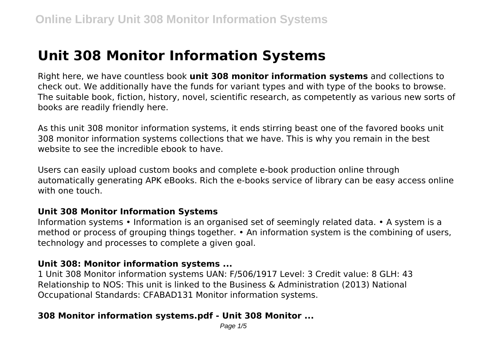# **Unit 308 Monitor Information Systems**

Right here, we have countless book **unit 308 monitor information systems** and collections to check out. We additionally have the funds for variant types and with type of the books to browse. The suitable book, fiction, history, novel, scientific research, as competently as various new sorts of books are readily friendly here.

As this unit 308 monitor information systems, it ends stirring beast one of the favored books unit 308 monitor information systems collections that we have. This is why you remain in the best website to see the incredible ebook to have

Users can easily upload custom books and complete e-book production online through automatically generating APK eBooks. Rich the e-books service of library can be easy access online with one touch.

#### **Unit 308 Monitor Information Systems**

Information systems • Information is an organised set of seemingly related data. • A system is a method or process of grouping things together. • An information system is the combining of users, technology and processes to complete a given goal.

#### **Unit 308: Monitor information systems ...**

1 Unit 308 Monitor information systems UAN: F/506/1917 Level: 3 Credit value: 8 GLH: 43 Relationship to NOS: This unit is linked to the Business & Administration (2013) National Occupational Standards: CFABAD131 Monitor information systems.

## **308 Monitor information systems.pdf - Unit 308 Monitor ...**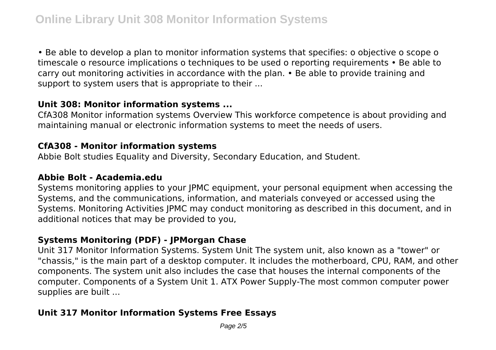• Be able to develop a plan to monitor information systems that specifies: o objective o scope o timescale o resource implications o techniques to be used o reporting requirements • Be able to carry out monitoring activities in accordance with the plan. • Be able to provide training and support to system users that is appropriate to their ...

#### **Unit 308: Monitor information systems ...**

CfA308 Monitor information systems Overview This workforce competence is about providing and maintaining manual or electronic information systems to meet the needs of users.

#### **CfA308 - Monitor information systems**

Abbie Bolt studies Equality and Diversity, Secondary Education, and Student.

#### **Abbie Bolt - Academia.edu**

Systems monitoring applies to your JPMC equipment, your personal equipment when accessing the Systems, and the communications, information, and materials conveyed or accessed using the Systems. Monitoring Activities JPMC may conduct monitoring as described in this document, and in additional notices that may be provided to you,

## **Systems Monitoring (PDF) - JPMorgan Chase**

Unit 317 Monitor Information Systems. System Unit The system unit, also known as a "tower" or "chassis," is the main part of a desktop computer. It includes the motherboard, CPU, RAM, and other components. The system unit also includes the case that houses the internal components of the computer. Components of a System Unit 1. ATX Power Supply-The most common computer power supplies are built ...

## **Unit 317 Monitor Information Systems Free Essays**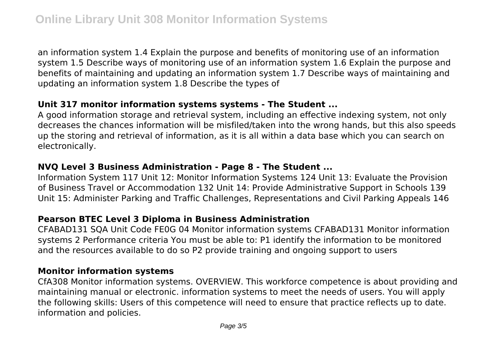an information system 1.4 Explain the purpose and benefits of monitoring use of an information system 1.5 Describe ways of monitoring use of an information system 1.6 Explain the purpose and benefits of maintaining and updating an information system 1.7 Describe ways of maintaining and updating an information system 1.8 Describe the types of

#### **Unit 317 monitor information systems systems - The Student ...**

A good information storage and retrieval system, including an effective indexing system, not only decreases the chances information will be misfiled/taken into the wrong hands, but this also speeds up the storing and retrieval of information, as it is all within a data base which you can search on electronically.

#### **NVQ Level 3 Business Administration - Page 8 - The Student ...**

Information System 117 Unit 12: Monitor Information Systems 124 Unit 13: Evaluate the Provision of Business Travel or Accommodation 132 Unit 14: Provide Administrative Support in Schools 139 Unit 15: Administer Parking and Traffic Challenges, Representations and Civil Parking Appeals 146

#### **Pearson BTEC Level 3 Diploma in Business Administration**

CFABAD131 SQA Unit Code FE0G 04 Monitor information systems CFABAD131 Monitor information systems 2 Performance criteria You must be able to: P1 identify the information to be monitored and the resources available to do so P2 provide training and ongoing support to users

#### **Monitor information systems**

CfA308 Monitor information systems. OVERVIEW. This workforce competence is about providing and maintaining manual or electronic. information systems to meet the needs of users. You will apply the following skills: Users of this competence will need to ensure that practice reflects up to date. information and policies.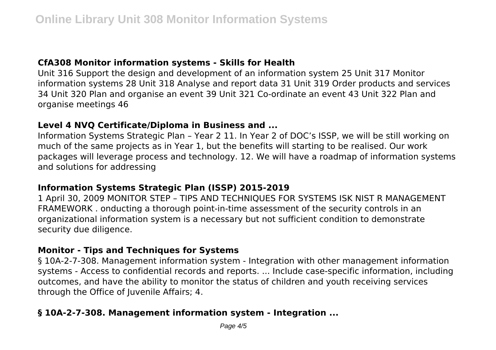## **CfA308 Monitor information systems - Skills for Health**

Unit 316 Support the design and development of an information system 25 Unit 317 Monitor information systems 28 Unit 318 Analyse and report data 31 Unit 319 Order products and services 34 Unit 320 Plan and organise an event 39 Unit 321 Co-ordinate an event 43 Unit 322 Plan and organise meetings 46

## **Level 4 NVQ Certificate/Diploma in Business and ...**

Information Systems Strategic Plan – Year 2 11. In Year 2 of DOC's ISSP, we will be still working on much of the same projects as in Year 1, but the benefits will starting to be realised. Our work packages will leverage process and technology. 12. We will have a roadmap of information systems and solutions for addressing

## **Information Systems Strategic Plan (ISSP) 2015-2019**

1 April 30, 2009 MONITOR STEP – TIPS AND TECHNIQUES FOR SYSTEMS ISK NIST R MANAGEMENT FRAMEWORK . onducting a thorough point-in-time assessment of the security controls in an organizational information system is a necessary but not sufficient condition to demonstrate security due diligence.

#### **Monitor - Tips and Techniques for Systems**

§ 10A-2-7-308. Management information system - Integration with other management information systems - Access to confidential records and reports. ... Include case-specific information, including outcomes, and have the ability to monitor the status of children and youth receiving services through the Office of Juvenile Affairs; 4.

## **§ 10A-2-7-308. Management information system - Integration ...**